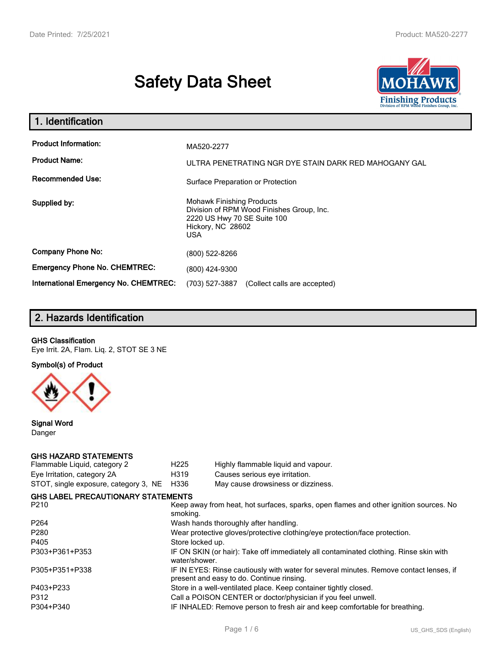# **Safety Data Sheet**



| 1. Identification                                                              |                                                                                                                                          |
|--------------------------------------------------------------------------------|------------------------------------------------------------------------------------------------------------------------------------------|
| <b>Product Information:</b><br><b>Product Name:</b><br><b>Recommended Use:</b> | MA520-2277<br>ULTRA PENETRATING NGR DYE STAIN DARK RED MAHOGANY GAL                                                                      |
|                                                                                | Surface Preparation or Protection                                                                                                        |
| Supplied by:                                                                   | <b>Mohawk Finishing Products</b><br>Division of RPM Wood Finishes Group, Inc.<br>2220 US Hwy 70 SE Suite 100<br>Hickory, NC 28602<br>USA |
| <b>Company Phone No:</b>                                                       | (800) 522-8266                                                                                                                           |
| <b>Emergency Phone No. CHEMTREC:</b>                                           | (800) 424-9300                                                                                                                           |
| International Emergency No. CHEMTREC:                                          | (703) 527-3887<br>(Collect calls are accepted)                                                                                           |

# **2. Hazards Identification**

#### **GHS Classification**

Eye Irrit. 2A, Flam. Liq. 2, STOT SE 3 NE

**Symbol(s) of Product**



**Signal Word** Danger

#### **GHS HAZARD STATEMENTS**

| H <sub>225</sub>                                                                                                                    | Highly flammable liquid and vapour.       |  |  |
|-------------------------------------------------------------------------------------------------------------------------------------|-------------------------------------------|--|--|
| H319                                                                                                                                | Causes serious eye irritation.            |  |  |
| H336                                                                                                                                | May cause drowsiness or dizziness.        |  |  |
|                                                                                                                                     |                                           |  |  |
| Keep away from heat, hot surfaces, sparks, open flames and other ignition sources. No<br>smoking.                                   |                                           |  |  |
| Wash hands thoroughly after handling.                                                                                               |                                           |  |  |
| Wear protective gloves/protective clothing/eye protection/face protection.                                                          |                                           |  |  |
| Store locked up.                                                                                                                    |                                           |  |  |
| IF ON SKIN (or hair): Take off immediately all contaminated clothing. Rinse skin with<br>water/shower.                              |                                           |  |  |
| IF IN EYES: Rinse cautiously with water for several minutes. Remove contact lenses, if<br>present and easy to do. Continue rinsing. |                                           |  |  |
| Store in a well-ventilated place. Keep container tightly closed.                                                                    |                                           |  |  |
| Call a POISON CENTER or doctor/physician if you feel unwell.                                                                        |                                           |  |  |
| IF INHALED: Remove person to fresh air and keep comfortable for breathing.                                                          |                                           |  |  |
|                                                                                                                                     | <b>GHS LABEL PRECAUTIONARY STATEMENTS</b> |  |  |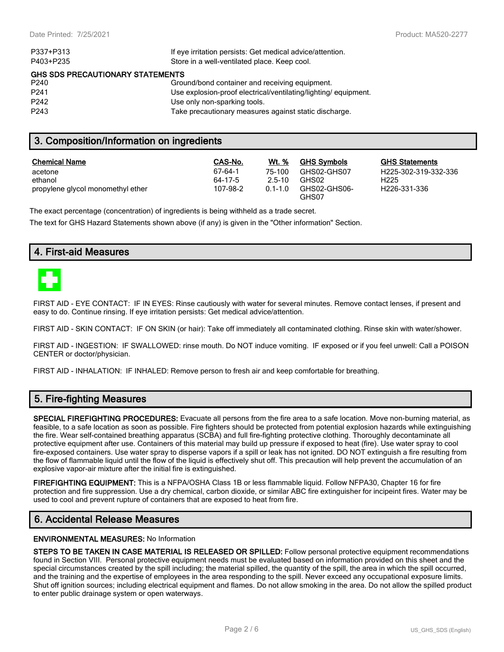| P337+P313                               | If eye irritation persists: Get medical advice/attention.      |  |  |  |
|-----------------------------------------|----------------------------------------------------------------|--|--|--|
| P403+P235                               | Store in a well-ventilated place. Keep cool.                   |  |  |  |
| <b>GHS SDS PRECAUTIONARY STATEMENTS</b> |                                                                |  |  |  |
| P <sub>240</sub>                        | Ground/bond container and receiving equipment.                 |  |  |  |
| P <sub>241</sub>                        | Use explosion-proof electrical/ventilating/lighting/equipment. |  |  |  |
| P <sub>242</sub>                        | Use only non-sparking tools.                                   |  |  |  |
| P <sub>243</sub>                        | Take precautionary measures against static discharge.          |  |  |  |
|                                         |                                                                |  |  |  |

## **3. Composition/Information on ingredients**

| <b>Chemical Name</b>              | CAS-No.  | Wt. %       | <b>GHS Symbols</b>    | GHS  |
|-----------------------------------|----------|-------------|-----------------------|------|
| acetone                           | 67-64-1  | 75-100      | GHS02-GHS07           | H225 |
| ethanol                           | 64-17-5  | $2.5 - 10$  | GHS02                 | H225 |
| propylene glycol monomethyl ether | 107-98-2 | $0.1 - 1.0$ | GHS02-GHS06-<br>GHS07 | H226 |

**GHS Statements** H225-302-319-332-336 H226-331-336

The exact percentage (concentration) of ingredients is being withheld as a trade secret.

The text for GHS Hazard Statements shown above (if any) is given in the "Other information" Section.

## **4. First-aid Measures**



FIRST AID - EYE CONTACT: IF IN EYES: Rinse cautiously with water for several minutes. Remove contact lenses, if present and easy to do. Continue rinsing. If eye irritation persists: Get medical advice/attention.

FIRST AID - SKIN CONTACT: IF ON SKIN (or hair): Take off immediately all contaminated clothing. Rinse skin with water/shower.

FIRST AID - INGESTION: IF SWALLOWED: rinse mouth. Do NOT induce vomiting. IF exposed or if you feel unwell: Call a POISON CENTER or doctor/physician.

FIRST AID - INHALATION: IF INHALED: Remove person to fresh air and keep comfortable for breathing.

## **5. Fire-fighting Measures**

**SPECIAL FIREFIGHTING PROCEDURES:** Evacuate all persons from the fire area to a safe location. Move non-burning material, as feasible, to a safe location as soon as possible. Fire fighters should be protected from potential explosion hazards while extinguishing the fire. Wear self-contained breathing apparatus (SCBA) and full fire-fighting protective clothing. Thoroughly decontaminate all protective equipment after use. Containers of this material may build up pressure if exposed to heat (fire). Use water spray to cool fire-exposed containers. Use water spray to disperse vapors if a spill or leak has not ignited. DO NOT extinguish a fire resulting from the flow of flammable liquid until the flow of the liquid is effectively shut off. This precaution will help prevent the accumulation of an explosive vapor-air mixture after the initial fire is extinguished.

**FIREFIGHTING EQUIPMENT:** This is a NFPA/OSHA Class 1B or less flammable liquid. Follow NFPA30, Chapter 16 for fire protection and fire suppression. Use a dry chemical, carbon dioxide, or similar ABC fire extinguisher for incipeint fires. Water may be used to cool and prevent rupture of containers that are exposed to heat from fire.

# **6. Accidental Release Measures**

#### **ENVIRONMENTAL MEASURES:** No Information

**STEPS TO BE TAKEN IN CASE MATERIAL IS RELEASED OR SPILLED:** Follow personal protective equipment recommendations found in Section VIII. Personal protective equipment needs must be evaluated based on information provided on this sheet and the special circumstances created by the spill including; the material spilled, the quantity of the spill, the area in which the spill occurred, and the training and the expertise of employees in the area responding to the spill. Never exceed any occupational exposure limits. Shut off ignition sources; including electrical equipment and flames. Do not allow smoking in the area. Do not allow the spilled product to enter public drainage system or open waterways.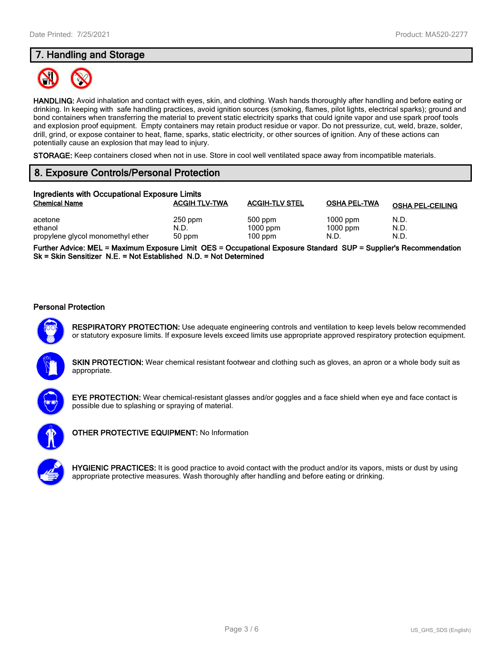# **7. Handling and Storage**



**HANDLING:** Avoid inhalation and contact with eyes, skin, and clothing. Wash hands thoroughly after handling and before eating or drinking. In keeping with safe handling practices, avoid ignition sources (smoking, flames, pilot lights, electrical sparks); ground and bond containers when transferring the material to prevent static electricity sparks that could ignite vapor and use spark proof tools and explosion proof equipment. Empty containers may retain product residue or vapor. Do not pressurize, cut, weld, braze, solder, drill, grind, or expose container to heat, flame, sparks, static electricity, or other sources of ignition. Any of these actions can potentially cause an explosion that may lead to injury.

**STORAGE:** Keep containers closed when not in use. Store in cool well ventilated space away from incompatible materials.

# **8. Exposure Controls/Personal Protection**

| Ingredients with Occupational Exposure Limits |                      |                       |                          |                         |
|-----------------------------------------------|----------------------|-----------------------|--------------------------|-------------------------|
| <b>Chemical Name</b>                          | <b>ACGIH TLV-TWA</b> | <b>ACGIH-TLV STEL</b> | <b>OSHA PEL-TWA</b>      | <b>OSHA PEL-CEILING</b> |
| acetone<br>ethanol                            | $250$ ppm<br>N.D.    | 500 ppm<br>$1000$ ppm | $1000$ ppm<br>$1000$ ppm | N.D.<br>N.D.            |
| propylene glycol monomethyl ether             | 50 ppm               | $100$ ppm             | N.D.                     | N.D.                    |

**Further Advice: MEL = Maximum Exposure Limit OES = Occupational Exposure Standard SUP = Supplier's Recommendation Sk = Skin Sensitizer N.E. = Not Established N.D. = Not Determined**

#### **Personal Protection**



**RESPIRATORY PROTECTION:** Use adequate engineering controls and ventilation to keep levels below recommended or statutory exposure limits. If exposure levels exceed limits use appropriate approved respiratory protection equipment.





**EYE PROTECTION:** Wear chemical-resistant glasses and/or goggles and a face shield when eye and face contact is possible due to splashing or spraying of material.



**OTHER PROTECTIVE EQUIPMENT:** No Information

**HYGIENIC PRACTICES:** It is good practice to avoid contact with the product and/or its vapors, mists or dust by using appropriate protective measures. Wash thoroughly after handling and before eating or drinking.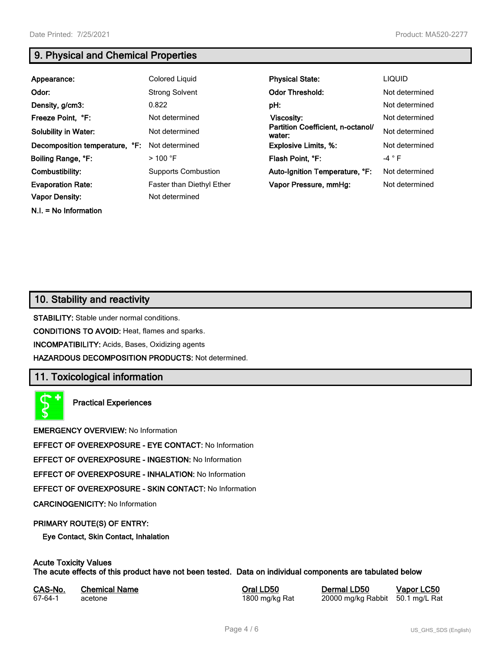**N.I. = No Information**

# **9. Physical and Chemical Properties**

| Appearance:                    | <b>Colored Liquid</b>      | <b>Physical State:</b>                      | <b>LIQUID</b>  |
|--------------------------------|----------------------------|---------------------------------------------|----------------|
| Odor:                          | <b>Strong Solvent</b>      | <b>Odor Threshold:</b>                      | Not determined |
| Density, g/cm3:                | 0.822                      | pH:                                         | Not determined |
| Freeze Point, °F:              | Not determined             | Viscosity:                                  | Not determined |
| <b>Solubility in Water:</b>    | Not determined             | Partition Coefficient, n-octanol/<br>water: | Not determined |
| Decomposition temperature, °F: | Not determined             | <b>Explosive Limits, %:</b>                 | Not determined |
| Boiling Range, °F:             | $>100$ °F                  | Flash Point, °F:                            | $-4$ $\circ$ F |
| Combustibility:                | <b>Supports Combustion</b> | Auto-Ignition Temperature, °F:              | Not determined |
| <b>Evaporation Rate:</b>       | Faster than Diethyl Ether  | Vapor Pressure, mmHg:                       | Not determined |
| <b>Vapor Density:</b>          | Not determined             |                                             |                |

# **10. Stability and reactivity**

**STABILITY:** Stable under normal conditions.

**CONDITIONS TO AVOID:** Heat, flames and sparks.

**INCOMPATIBILITY:** Acids, Bases, Oxidizing agents

**HAZARDOUS DECOMPOSITION PRODUCTS:** Not determined.

## **11. Toxicological information**

**Practical Experiences**

**EMERGENCY OVERVIEW:** No Information

**EFFECT OF OVEREXPOSURE - EYE CONTACT:** No Information

**EFFECT OF OVEREXPOSURE - INGESTION:** No Information

**EFFECT OF OVEREXPOSURE - INHALATION:** No Information

**EFFECT OF OVEREXPOSURE - SKIN CONTACT:** No Information

**CARCINOGENICITY:** No Information

#### **PRIMARY ROUTE(S) OF ENTRY:**

**Eye Contact, Skin Contact, Inhalation**

# **Acute Toxicity Values**

**The acute effects of this product have not been tested. Data on individual components are tabulated below**

| CAS-No. | <b>Chemical Name</b> |
|---------|----------------------|
| 67-64-1 | acetone              |

**Casary Chemical Chemical LD50 Chemical LD50 Vapor LC50** 1800 mg/kg Rat 20000 mg/kg Rabbit 50.1 mg/L Rat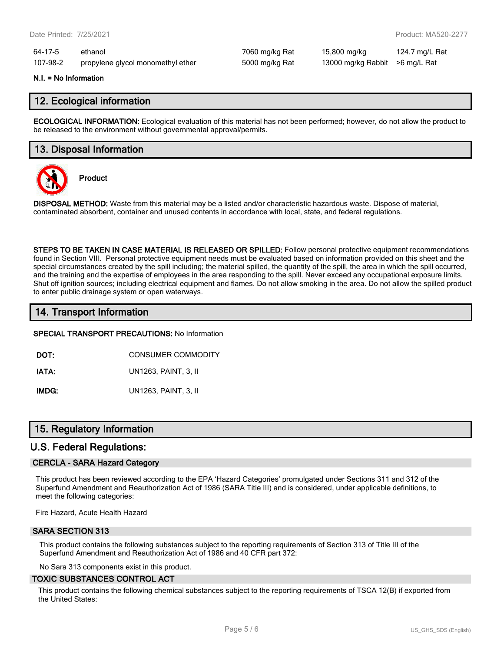64-17-5 ethanol 7060 mg/kg Rat 15,800 mg/kg 124.7 mg/L Rat 107-98-2 propylene glycol monomethyl ether 5000 mg/kg Rat 13000 mg/kg Rabbit >6 mg/L Rat

#### **N.I. = No Information**

## **12. Ecological information**

**ECOLOGICAL INFORMATION:** Ecological evaluation of this material has not been performed; however, do not allow the product to be released to the environment without governmental approval/permits.

## **13. Disposal Information**



**Product**

**DISPOSAL METHOD:** Waste from this material may be a listed and/or characteristic hazardous waste. Dispose of material, contaminated absorbent, container and unused contents in accordance with local, state, and federal regulations.

**STEPS TO BE TAKEN IN CASE MATERIAL IS RELEASED OR SPILLED:** Follow personal protective equipment recommendations found in Section VIII. Personal protective equipment needs must be evaluated based on information provided on this sheet and the special circumstances created by the spill including; the material spilled, the quantity of the spill, the area in which the spill occurred, and the training and the expertise of employees in the area responding to the spill. Never exceed any occupational exposure limits. Shut off ignition sources; including electrical equipment and flames. Do not allow smoking in the area. Do not allow the spilled product to enter public drainage system or open waterways.

## **14. Transport Information**

**SPECIAL TRANSPORT PRECAUTIONS:** No Information

**DOT:** CONSUMER COMMODITY

**IATA:** UN1263, PAINT, 3, II

**IMDG:** UN1263, PAINT, 3, II

## **15. Regulatory Information**

### **U.S. Federal Regulations:**

#### **CERCLA - SARA Hazard Category**

This product has been reviewed according to the EPA 'Hazard Categories' promulgated under Sections 311 and 312 of the Superfund Amendment and Reauthorization Act of 1986 (SARA Title III) and is considered, under applicable definitions, to meet the following categories:

Fire Hazard, Acute Health Hazard

#### **SARA SECTION 313**

This product contains the following substances subject to the reporting requirements of Section 313 of Title III of the Superfund Amendment and Reauthorization Act of 1986 and 40 CFR part 372:

No Sara 313 components exist in this product.

#### **TOXIC SUBSTANCES CONTROL ACT**

This product contains the following chemical substances subject to the reporting requirements of TSCA 12(B) if exported from the United States: